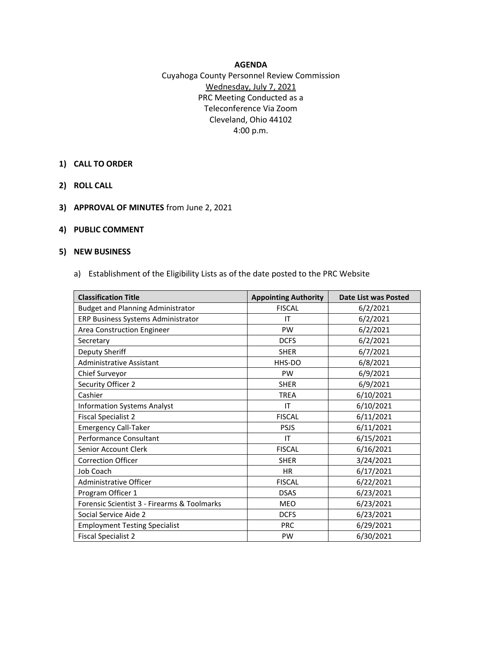## **AGENDA**

Cuyahoga County Personnel Review Commission Wednesday, July 7, 2021 PRC Meeting Conducted as a Teleconference Via Zoom Cleveland, Ohio 44102 4:00 p.m.

- **1) CALL TO ORDER**
- **2) ROLL CALL**
- **3) APPROVAL OF MINUTES** from June 2, 2021
- **4) PUBLIC COMMENT**

## **5) NEW BUSINESS**

a) Establishment of the Eligibility Lists as of the date posted to the PRC Website

| <b>Classification Title</b>                 | <b>Appointing Authority</b> | <b>Date List was Posted</b> |
|---------------------------------------------|-----------------------------|-----------------------------|
| <b>Budget and Planning Administrator</b>    | <b>FISCAL</b>               | 6/2/2021                    |
| ERP Business Systems Administrator          | IT                          | 6/2/2021                    |
| Area Construction Engineer                  | PW                          | 6/2/2021                    |
| Secretary                                   | <b>DCFS</b>                 | 6/2/2021                    |
| Deputy Sheriff                              | <b>SHER</b>                 | 6/7/2021                    |
| <b>Administrative Assistant</b>             | HHS-DO                      | 6/8/2021                    |
| Chief Surveyor                              | <b>PW</b>                   | 6/9/2021                    |
| Security Officer 2                          | <b>SHER</b>                 | 6/9/2021                    |
| Cashier                                     | <b>TREA</b>                 | 6/10/2021                   |
| <b>Information Systems Analyst</b>          | IT                          | 6/10/2021                   |
| <b>Fiscal Specialist 2</b>                  | <b>FISCAL</b>               | 6/11/2021                   |
| <b>Emergency Call-Taker</b>                 | <b>PSJS</b>                 | 6/11/2021                   |
| Performance Consultant                      | IT                          | 6/15/2021                   |
| Senior Account Clerk                        | <b>FISCAL</b>               | 6/16/2021                   |
| <b>Correction Officer</b>                   | <b>SHER</b>                 | 3/24/2021                   |
| Job Coach                                   | <b>HR</b>                   | 6/17/2021                   |
| Administrative Officer                      | <b>FISCAL</b>               | 6/22/2021                   |
| Program Officer 1                           | <b>DSAS</b>                 | 6/23/2021                   |
| Forensic Scientist 3 - Firearms & Toolmarks | <b>MEO</b>                  | 6/23/2021                   |
| Social Service Aide 2                       | <b>DCFS</b>                 | 6/23/2021                   |
| <b>Employment Testing Specialist</b>        | <b>PRC</b>                  | 6/29/2021                   |
| <b>Fiscal Specialist 2</b>                  | <b>PW</b>                   | 6/30/2021                   |